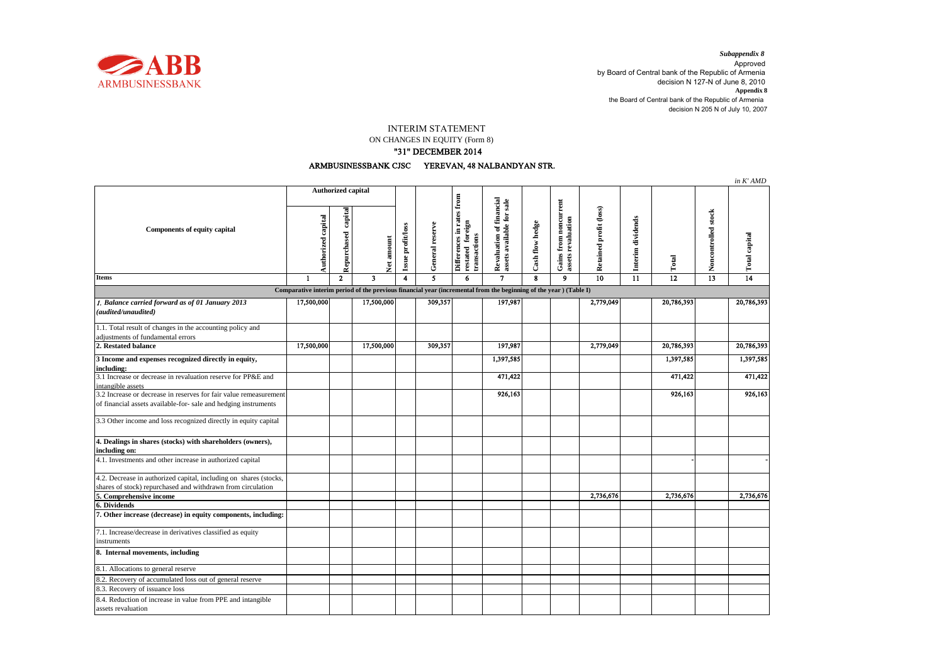

decision N 205 N of July 10, 2007 *Subappendix 8*  Approved by Board of Central bank of the Republic of Armenia decision N 127-N of June 8, 2010 **Appendix 8** the Board of Central bank of the Republic of Armenia

## INTERIM STATEMENT

ON CHANGES IN EQUITY (Form 8)

## "31" DECEMBER 2014

## ARMBUSINESSBANK CJSC YEREVAN, 48 NALBANDYAN STR.

|                                                                                                                  |                           |                        |            |                   |                 |                                                               |                                                       |                 |                                                    |                        |                   |                 |                     | in K' AMD            |
|------------------------------------------------------------------------------------------------------------------|---------------------------|------------------------|------------|-------------------|-----------------|---------------------------------------------------------------|-------------------------------------------------------|-----------------|----------------------------------------------------|------------------------|-------------------|-----------------|---------------------|----------------------|
| <b>Components of equity capital</b>                                                                              | <b>Authorized capital</b> |                        |            |                   |                 |                                                               |                                                       |                 |                                                    |                        |                   |                 |                     |                      |
|                                                                                                                  | Authorized capital        | capital<br>Repurchased | Net amount | Issue profit/loss | General reserve | Differences in rates from<br>restated foreign<br>transactions | Revaluation of financial<br>assets available for sale | Cash flow hedge | <b>Gains from noncurrent</b><br>assets revaluation | Retained profit (loss) | Interim dividends | Total           | Noncontrolled stock | <b>Total capital</b> |
| Items                                                                                                            | 1                         | $\overline{2}$         | 3          | 4                 | 5               | 6                                                             | $\overline{7}$                                        | 8               | $\overline{9}$                                     | $\overline{10}$        | $\overline{11}$   | $\overline{12}$ | $\overline{13}$     | $\overline{14}$      |
| Comparative interim period of the previous financial year (incremental from the beginning of the year) (Table I) |                           |                        |            |                   |                 |                                                               |                                                       |                 |                                                    |                        |                   |                 |                     |                      |
| 1. Balance carried forward as of 01 January 2013<br>(audited/unaudited)                                          | 17,500,000                |                        | 17,500,000 |                   | 309,357         |                                                               | 197,987                                               |                 |                                                    | 2,779,049              |                   | 20,786,393      |                     | 20,786,393           |
| 1.1. Total result of changes in the accounting policy and<br>adjustments of fundamental errors                   |                           |                        |            |                   |                 |                                                               |                                                       |                 |                                                    |                        |                   |                 |                     |                      |
| 2. Restated balance                                                                                              | 17,500,000                |                        | 17,500,000 |                   | 309,357         |                                                               | 197,987                                               |                 |                                                    | 2,779,049              |                   | 20,786,393      |                     | 20,786,393           |
| 3 Income and expenses recognized directly in equity,<br>including:                                               |                           |                        |            |                   |                 |                                                               | 1,397,585                                             |                 |                                                    |                        |                   | 1,397,585       |                     | 1,397,585            |
| 3.1 Increase or decrease in revaluation reserve for PP&E and<br>intangible assets                                |                           |                        |            |                   |                 |                                                               | 471,422                                               |                 |                                                    |                        |                   | 471,422         |                     | 471,422              |
| 3.2 Increase or decrease in reserves for fair value remeasurement                                                |                           |                        |            |                   |                 |                                                               | 926,163                                               |                 |                                                    |                        |                   | 926,163         |                     | 926,163              |
| of financial assets available-for- sale and hedging instruments                                                  |                           |                        |            |                   |                 |                                                               |                                                       |                 |                                                    |                        |                   |                 |                     |                      |
| 3.3 Other income and loss recognized directly in equity capital                                                  |                           |                        |            |                   |                 |                                                               |                                                       |                 |                                                    |                        |                   |                 |                     |                      |
| 4. Dealings in shares (stocks) with shareholders (owners),<br>including on:                                      |                           |                        |            |                   |                 |                                                               |                                                       |                 |                                                    |                        |                   |                 |                     |                      |
| 4.1. Investments and other increase in authorized capital                                                        |                           |                        |            |                   |                 |                                                               |                                                       |                 |                                                    |                        |                   |                 |                     |                      |
| 4.2. Decrease in authorized capital, including on shares (stocks,                                                |                           |                        |            |                   |                 |                                                               |                                                       |                 |                                                    |                        |                   |                 |                     |                      |
| shares of stock) repurchased and withdrawn from circulation                                                      |                           |                        |            |                   |                 |                                                               |                                                       |                 |                                                    |                        |                   |                 |                     |                      |
| 5. Comprehensive income<br>6. Dividends                                                                          |                           |                        |            |                   |                 |                                                               |                                                       |                 |                                                    | 2,736,676              |                   | 2,736,676       |                     | 2,736,676            |
| 7. Other increase (decrease) in equity components, including:                                                    |                           |                        |            |                   |                 |                                                               |                                                       |                 |                                                    |                        |                   |                 |                     |                      |
| 7.1. Increase/decrease in derivatives classified as equity<br>instruments                                        |                           |                        |            |                   |                 |                                                               |                                                       |                 |                                                    |                        |                   |                 |                     |                      |
| 8. Internal movements, including                                                                                 |                           |                        |            |                   |                 |                                                               |                                                       |                 |                                                    |                        |                   |                 |                     |                      |
| 8.1. Allocations to general reserve                                                                              |                           |                        |            |                   |                 |                                                               |                                                       |                 |                                                    |                        |                   |                 |                     |                      |
| 8.2. Recovery of accumulated loss out of general reserve                                                         |                           |                        |            |                   |                 |                                                               |                                                       |                 |                                                    |                        |                   |                 |                     |                      |
| 8.3. Recovery of issuance loss                                                                                   |                           |                        |            |                   |                 |                                                               |                                                       |                 |                                                    |                        |                   |                 |                     |                      |
| 8.4. Reduction of increase in value from PPE and intangible                                                      |                           |                        |            |                   |                 |                                                               |                                                       |                 |                                                    |                        |                   |                 |                     |                      |
| assets revaluation                                                                                               |                           |                        |            |                   |                 |                                                               |                                                       |                 |                                                    |                        |                   |                 |                     |                      |